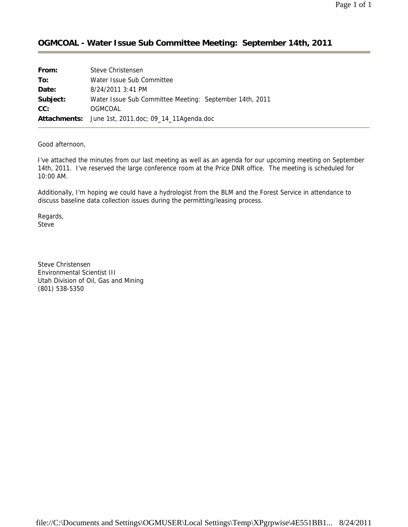## **OGMCOAL - Water Issue Sub Committee Meeting: September 14th, 2011**

| From:    | Steve Christensen                                       |
|----------|---------------------------------------------------------|
| To:      | Water Issue Sub Committee                               |
| Date:    | 8/24/2011 3:41 PM                                       |
| Subject: | Water Issue Sub Committee Meeting: September 14th, 2011 |
| CC:      | OGMCOAL                                                 |
|          | Attachments: June 1st, 2011.doc; 09_14_11Agenda.doc     |

Good afternoon,

I've attached the minutes from our last meeting as well as an agenda for our upcoming meeting on September 14th, 2011. I've reserved the large conference room at the Price DNR office. The meeting is scheduled for 10:00 AM.

Additionally, I'm hoping we could have a hydrologist from the BLM and the Forest Service in attendance to discuss baseline data collection issues during the permitting/leasing process.

Regards, Steve

Steve Christensen Environmental Scientist III Utah Division of Oil, Gas and Mining (801) 538-5350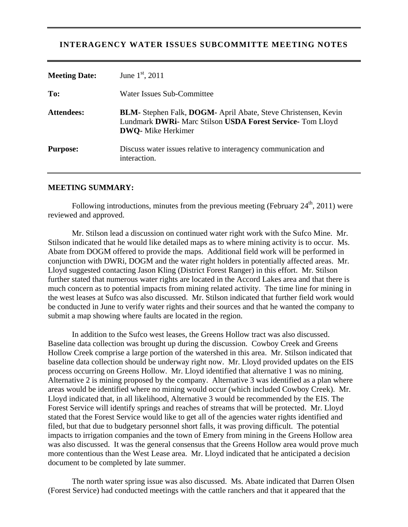### **INTERAGENCY WATER ISSUES SUBCOMMITTE MEETING NOTES**

| <b>Meeting Date:</b> | June $1st$ , 2011                                                                                                                                          |
|----------------------|------------------------------------------------------------------------------------------------------------------------------------------------------------|
| To:                  | Water Issues Sub-Committee                                                                                                                                 |
| <b>Attendees:</b>    | BLM- Stephen Falk, DOGM- April Abate, Steve Christensen, Kevin<br>Lundmark DWRi- Marc Stilson USDA Forest Service- Tom Lloyd<br><b>DWO</b> - Mike Herkimer |
| <b>Purpose:</b>      | Discuss water issues relative to interagency communication and<br>interaction.                                                                             |

#### **MEETING SUMMARY:**

Following introductions, minutes from the previous meeting (February  $24<sup>th</sup>$ , 2011) were reviewed and approved.

 Mr. Stilson lead a discussion on continued water right work with the Sufco Mine. Mr. Stilson indicated that he would like detailed maps as to where mining activity is to occur. Ms. Abate from DOGM offered to provide the maps. Additional field work will be performed in conjunction with DWRi, DOGM and the water right holders in potentially affected areas. Mr. Lloyd suggested contacting Jason Kling (District Forest Ranger) in this effort. Mr. Stilson further stated that numerous water rights are located in the Accord Lakes area and that there is much concern as to potential impacts from mining related activity. The time line for mining in the west leases at Sufco was also discussed. Mr. Stilson indicated that further field work would be conducted in June to verify water rights and their sources and that he wanted the company to submit a map showing where faults are located in the region.

 In addition to the Sufco west leases, the Greens Hollow tract was also discussed. Baseline data collection was brought up during the discussion. Cowboy Creek and Greens Hollow Creek comprise a large portion of the watershed in this area. Mr. Stilson indicated that baseline data collection should be underway right now. Mr. Lloyd provided updates on the EIS process occurring on Greens Hollow. Mr. Lloyd identified that alternative 1 was no mining. Alternative 2 is mining proposed by the company. Alternative 3 was identified as a plan where areas would be identified where no mining would occur (which included Cowboy Creek). Mr. Lloyd indicated that, in all likelihood, Alternative 3 would be recommended by the EIS. The Forest Service will identify springs and reaches of streams that will be protected. Mr. Lloyd stated that the Forest Service would like to get all of the agencies water rights identified and filed, but that due to budgetary personnel short falls, it was proving difficult. The potential impacts to irrigation companies and the town of Emery from mining in the Greens Hollow area was also discussed. It was the general consensus that the Greens Hollow area would prove much more contentious than the West Lease area. Mr. Lloyd indicated that he anticipated a decision document to be completed by late summer.

 The north water spring issue was also discussed. Ms. Abate indicated that Darren Olsen (Forest Service) had conducted meetings with the cattle ranchers and that it appeared that the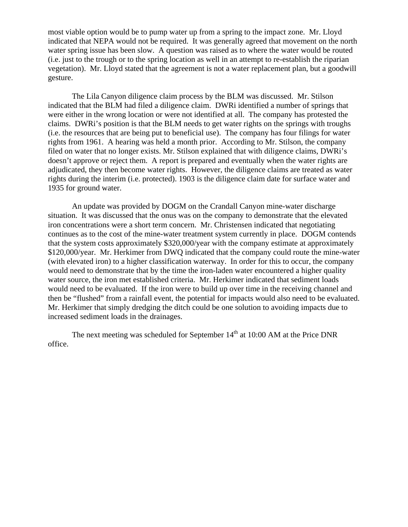most viable option would be to pump water up from a spring to the impact zone. Mr. Lloyd indicated that NEPA would not be required. It was generally agreed that movement on the north water spring issue has been slow. A question was raised as to where the water would be routed (i.e. just to the trough or to the spring location as well in an attempt to re-establish the riparian vegetation). Mr. Lloyd stated that the agreement is not a water replacement plan, but a goodwill gesture.

The Lila Canyon diligence claim process by the BLM was discussed. Mr. Stilson indicated that the BLM had filed a diligence claim. DWRi identified a number of springs that were either in the wrong location or were not identified at all. The company has protested the claims. DWRi's position is that the BLM needs to get water rights on the springs with troughs (i.e. the resources that are being put to beneficial use). The company has four filings for water rights from 1961. A hearing was held a month prior. According to Mr. Stilson, the company filed on water that no longer exists. Mr. Stilson explained that with diligence claims, DWRi's doesn't approve or reject them. A report is prepared and eventually when the water rights are adjudicated, they then become water rights. However, the diligence claims are treated as water rights during the interim (i.e. protected). 1903 is the diligence claim date for surface water and 1935 for ground water.

An update was provided by DOGM on the Crandall Canyon mine-water discharge situation. It was discussed that the onus was on the company to demonstrate that the elevated iron concentrations were a short term concern. Mr. Christensen indicated that negotiating continues as to the cost of the mine-water treatment system currently in place. DOGM contends that the system costs approximately \$320,000/year with the company estimate at approximately \$120,000/year. Mr. Herkimer from DWQ indicated that the company could route the mine-water (with elevated iron) to a higher classification waterway. In order for this to occur, the company would need to demonstrate that by the time the iron-laden water encountered a higher quality water source, the iron met established criteria. Mr. Herkimer indicated that sediment loads would need to be evaluated. If the iron were to build up over time in the receiving channel and then be "flushed" from a rainfall event, the potential for impacts would also need to be evaluated. Mr. Herkimer that simply dredging the ditch could be one solution to avoiding impacts due to increased sediment loads in the drainages.

The next meeting was scheduled for September  $14<sup>th</sup>$  at 10:00 AM at the Price DNR office.